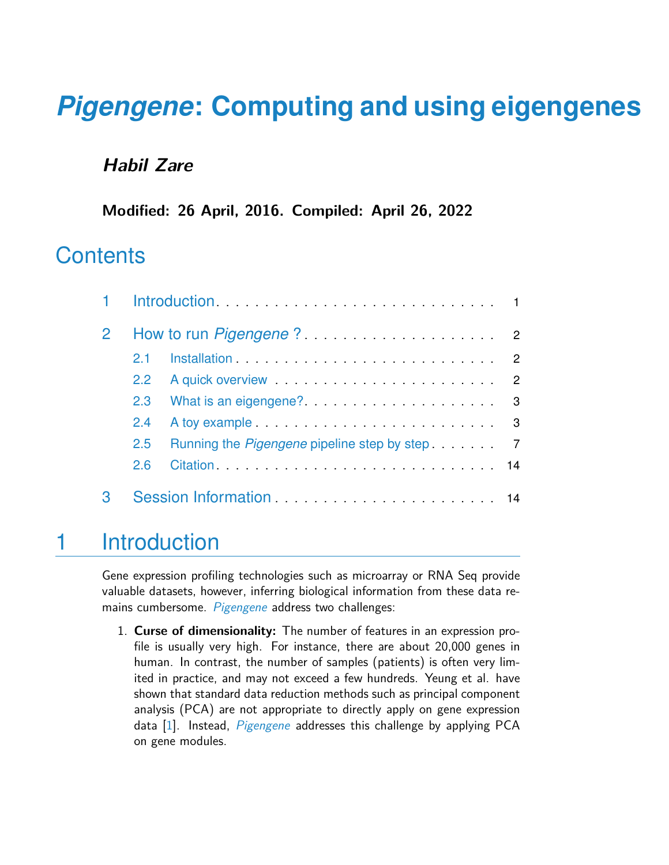# *[Pigengene](http://bioconductor.org/packages/Pigengene)***: Computing and using eigengenes**

#### **Habil Zare**

**Modified: 26 April, 2016. Compiled: April 26, 2022**

### **Contents**

| $\mathbf{2}$ |               |                                                                                                                                                                                                                                |  |
|--------------|---------------|--------------------------------------------------------------------------------------------------------------------------------------------------------------------------------------------------------------------------------|--|
|              | 21            |                                                                                                                                                                                                                                |  |
|              | $2.2^{\circ}$ | A quick overview expansion and a series of the contract of the contract of the contract of the contract of the contract of the contract of the contract of the contract of the contract of the contract of the contract of the |  |
|              | 2.3           |                                                                                                                                                                                                                                |  |
|              | 2.4           |                                                                                                                                                                                                                                |  |
|              | $2.5^{\circ}$ | Running the <i>Pigengene</i> pipeline step by step. The manning the <i>Pigengene</i> pipeline step by step.                                                                                                                    |  |
|              | 2.6           |                                                                                                                                                                                                                                |  |
|              |               |                                                                                                                                                                                                                                |  |

## <span id="page-0-0"></span>1 Introduction

Gene expression profiling technologies such as microarray or RNA Seq provide valuable datasets, however, inferring biological information from these data re-mains cumbersome. [Pigengene](http://bioconductor.org/packages/Pigengene) address two challenges:

1. **Curse of dimensionality:** The number of features in an expression profile is usually very high. For instance, there are about 20,000 genes in human. In contrast, the number of samples (patients) is often very limited in practice, and may not exceed a few hundreds. Yeung et al. have shown that standard data reduction methods such as principal component analysis (PCA) are not appropriate to directly apply on gene expression data  $[1]$ . Instead, *[Pigengene](http://bioconductor.org/packages/Pigengene)* addresses this challenge by applying PCA on gene modules.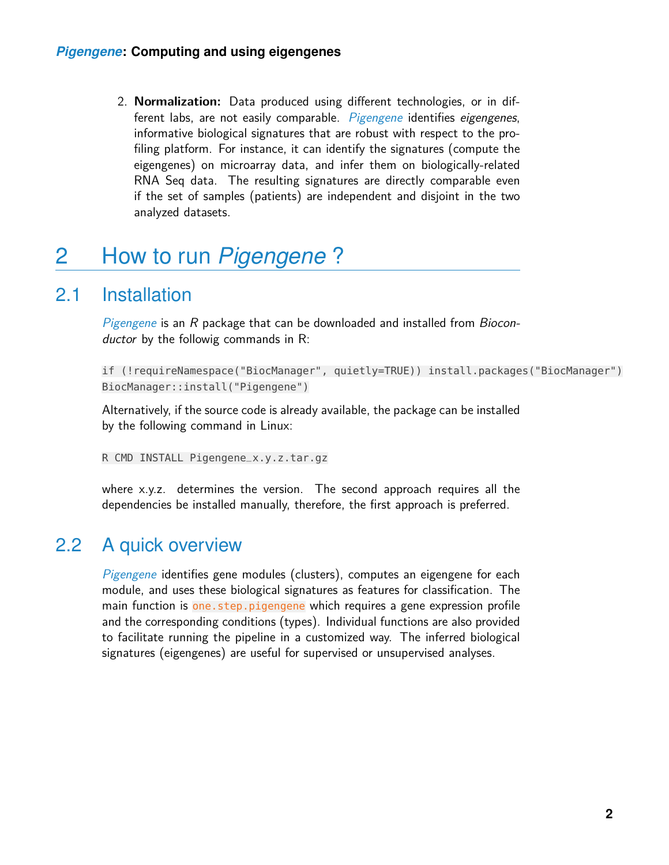2. **Normalization:** Data produced using different technologies, or in dif-ferent labs, are not easily comparable. [Pigengene](http://bioconductor.org/packages/Pigengene) identifies eigengenes, informative biological signatures that are robust with respect to the profiling platform. For instance, it can identify the signatures (compute the eigengenes) on microarray data, and infer them on biologically-related RNA Seq data. The resulting signatures are directly comparable even if the set of samples (patients) are independent and disjoint in the two analyzed datasets.

## <span id="page-1-0"></span>2 How to run *[Pigengene](http://bioconductor.org/packages/Pigengene)* ?

### 2.1 Installation

<span id="page-1-1"></span>[Pigengene](http://bioconductor.org/packages/Pigengene) is an R package that can be downloaded and installed from Bioconductor by the followig commands in R:

```
if (!requireNamespace("BiocManager", quietly=TRUE)) install.packages("BiocManager")
BiocManager::install("Pigengene")
```
Alternatively, if the source code is already available, the package can be installed by the following command in Linux:

R CMD INSTALL Pigengene\_x.y.z.tar.gz

<span id="page-1-2"></span>where x.y.z. determines the version. The second approach requires all the dependencies be installed manually, therefore, the first approach is preferred.

#### 2.2 A quick overview

<span id="page-1-3"></span>*[Pigengene](http://bioconductor.org/packages/Pigengene)* identifies gene modules (clusters), computes an eigengene for each module, and uses these biological signatures as features for classification. The main function is one. step.pigengene which requires a gene expression profile and the corresponding conditions (types). Individual functions are also provided to facilitate running the pipeline in a customized way. The inferred biological signatures (eigengenes) are useful for supervised or unsupervised analyses.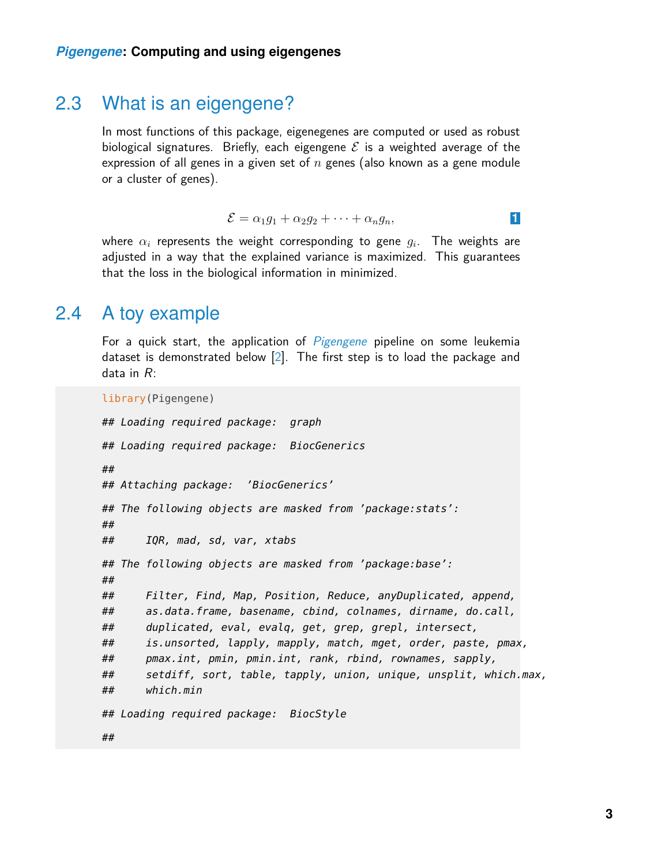#### 2.3 What is an eigengene?

In most functions of this package, eigenegenes are computed or used as robust biological signatures. Briefly, each eigengene  $\mathcal E$  is a weighted average of the expression of all genes in a given set of  $n$  genes (also known as a gene module or a cluster of genes).

$$
\mathcal{E} = \alpha_1 g_1 + \alpha_2 g_2 + \cdots + \alpha_n g_n,
$$

<span id="page-2-0"></span>where  $\alpha_i$  represents the weight corresponding to gene  $g_i.$  The weights are adjusted in a way that the explained variance is maximized. This guarantees that the loss in the biological information in minimized.

#### 2.4 A toy example

For a quick start, the application of  $Pigengene$  pipeline on some leukemia dataset is demonstrated below [\[2\]](#page-15-1). The first step is to load the package and data in R:

```
library(Pigengene)
## Loading required package: graph
## Loading required package: BiocGenerics
##
## Attaching package: 'BiocGenerics'
## The following objects are masked from 'package:stats':
##
## IQR, mad, sd, var, xtabs
## The following objects are masked from 'package:base':
##
## Filter, Find, Map, Position, Reduce, anyDuplicated, append,
## as.data.frame, basename, cbind, colnames, dirname, do.call,
## duplicated, eval, evalq, get, grep, grepl, intersect,
## is.unsorted, lapply, mapply, match, mget, order, paste, pmax,
## pmax.int, pmin, pmin.int, rank, rbind, rownames, sapply,
## setdiff, sort, table, tapply, union, unique, unsplit, which.max,
## which.min
## Loading required package: BiocStyle
##
```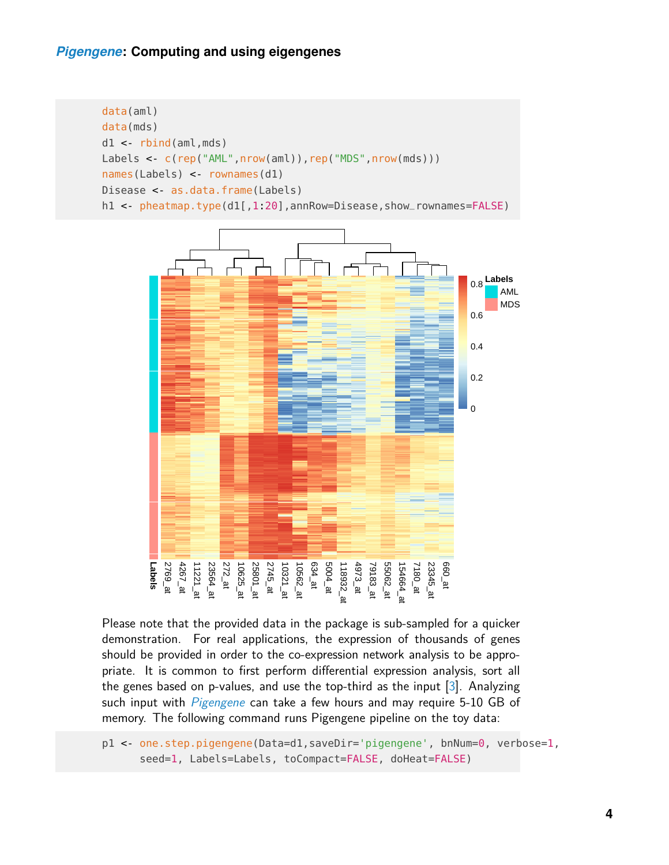#### *[Pigengene](http://bioconductor.org/packages/Pigengene)***: Computing and using eigengenes**

```
data(aml)
data(mds)
d1 <- rbind(aml,mds)
Labels < c(rep("AML", nrow(aml)), rep("MDS", nrow(mds)))
names(Labels) < rownames(d1)
Disease < as.data.frame(Labels)
h1 <- pheatmap.type(d1[,1:20],annRow=Disease,show_rownames=FALSE)
```


Please note that the provided data in the package is sub-sampled for a quicker demonstration. For real applications, the expression of thousands of genes should be provided in order to the co-expression network analysis to be appropriate. It is common to first perform differential expression analysis, sort all the genes based on p-values, and use the top-third as the input [\[3\]](#page-15-2). Analyzing such input with *[Pigengene](http://bioconductor.org/packages/Pigengene)* can take a few hours and may require 5-10 GB of memory. The following command runs Pigengene pipeline on the toy data:

p1 <- one.step.pigengene(Data=d1,saveDir='pigengene', bnNum=0, verbose=1, seed=1, Labels=Labels, toCompact=FALSE, doHeat=FALSE)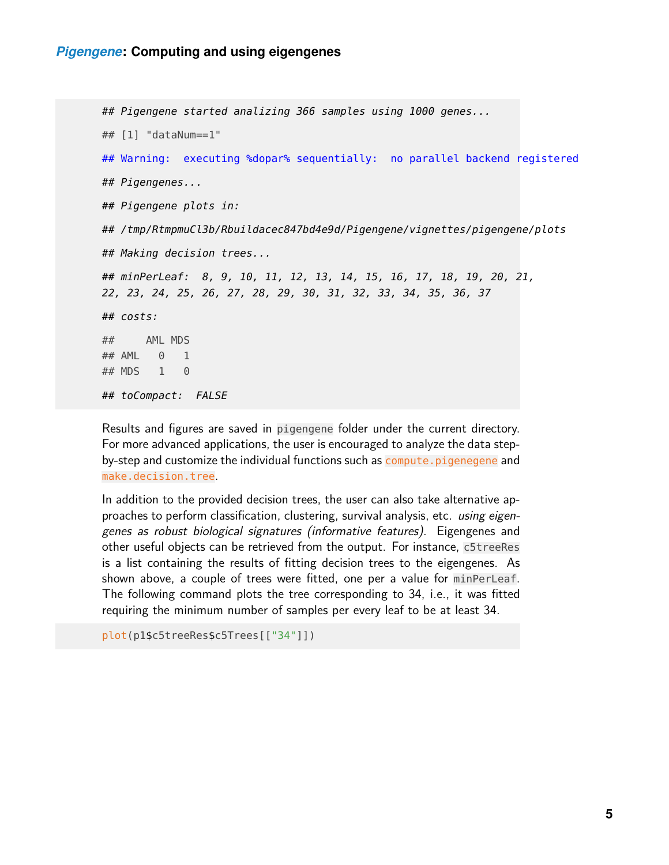```
## Pigengene started analizing 366 samples using 1000 genes...
## [1] "dataNum==1"
## Warning: executing %dopar% sequentially: no parallel backend registered
## Pigengenes...
## Pigengene plots in:
## /tmp/RtmpmuCl3b/Rbuildacec847bd4e9d/Pigengene/vignettes/pigengene/plots
## Making decision trees...
## minPerLeaf: 8, 9, 10, 11, 12, 13, 14, 15, 16, 17, 18, 19, 20, 21,
22, 23, 24, 25, 26, 27, 28, 29, 30, 31, 32, 33, 34, 35, 36, 37
## costs:
## AML MDS
## AML 0 1
## MDS 1 0
## toCompact: FALSE
```
Results and figures are saved in pigengene folder under the current directory. For more advanced applications, the user is encouraged to analyze the data stepby-step and customize the individual functions such as compute.pigenegene and make.decision.tree.

In addition to the provided decision trees, the user can also take alternative approaches to perform classification, clustering, survival analysis, etc. using eigengenes as robust biological signatures (informative features). Eigengenes and other useful objects can be retrieved from the output. For instance, c5treeRes is a list containing the results of fitting decision trees to the eigengenes. As shown above, a couple of trees were fitted, one per a value for minPerLeaf. The following command plots the tree corresponding to 34, i.e., it was fitted requiring the minimum number of samples per every leaf to be at least 34.

```
plot(p1$c5treeRes$c5Trees[["34"]])
```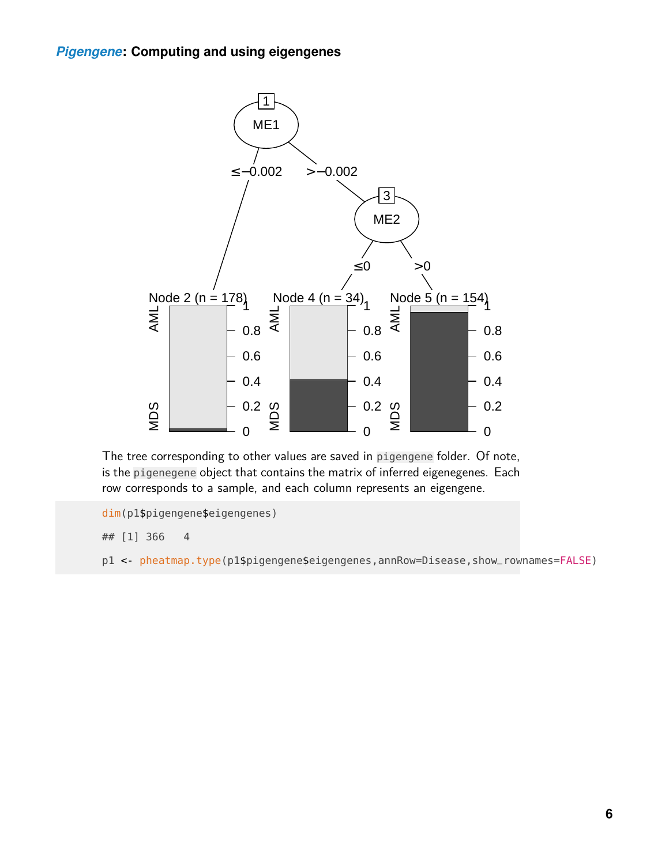

The tree corresponding to other values are saved in pigengene folder. Of note, is the pigenegene object that contains the matrix of inferred eigenegenes. Each row corresponds to a sample, and each column represents an eigengene.

```
dim(p1$pigengene$eigengenes)
```
## [1] 366 4

p1 <- pheatmap.type(p1\$pigengene\$eigengenes,annRow=Disease,show\_rownames=FALSE)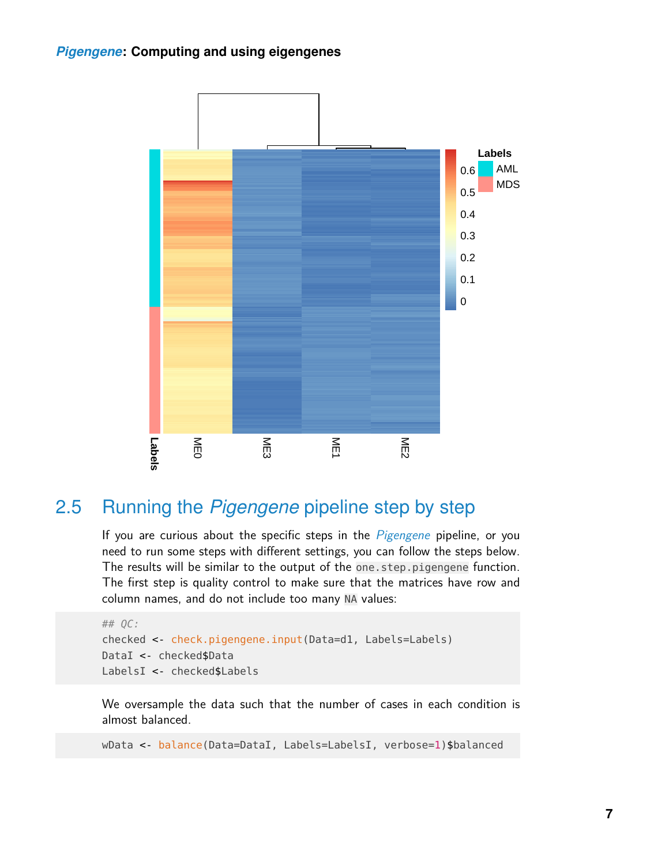

### <span id="page-6-0"></span>2.5 Running the *[Pigengene](http://bioconductor.org/packages/Pigengene)* pipeline step by step

If you are curious about the specific steps in the [Pigengene](http://bioconductor.org/packages/Pigengene) pipeline, or you need to run some steps with different settings, you can follow the steps below. The results will be similar to the output of the one.step.pigengene function. The first step is quality control to make sure that the matrices have row and column names, and do not include too many NA values:

```
## QC:
checked <- check.pigengene.input(Data=d1, Labels=Labels)
DataI <- checked$Data
LabelsI <- checked$Labels
```
We oversample the data such that the number of cases in each condition is almost balanced.

wData <- balance(Data=DataI, Labels=LabelsI, verbose=1)\$balanced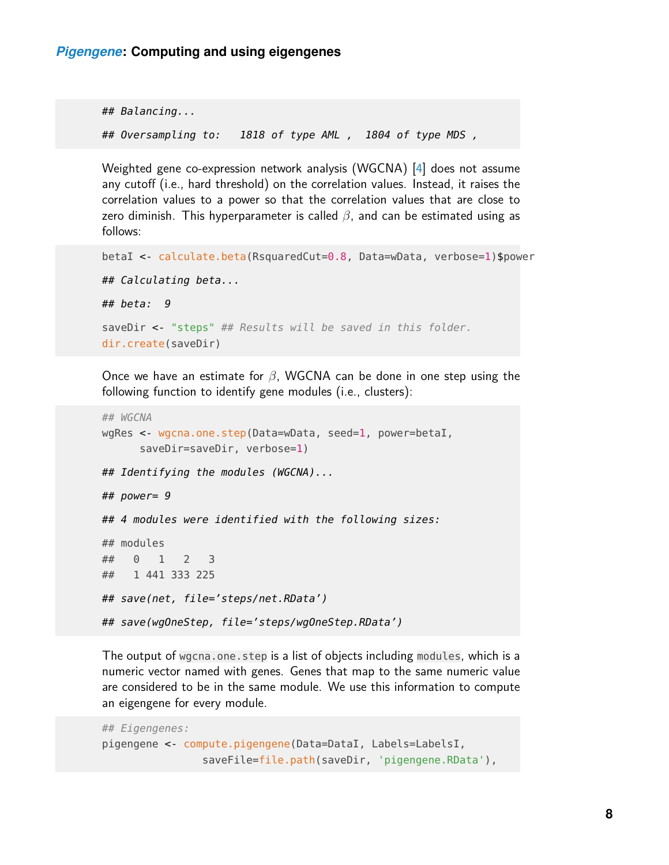```
## Balancing...
## Oversampling to: 1818 of type AML , 1804 of type MDS ,
```
Weighted gene co-expression network analysis (WGCNA) [\[4\]](#page-15-3) does not assume any cutoff (i.e., hard threshold) on the correlation values. Instead, it raises the correlation values to a power so that the correlation values that are close to zero diminish. This hyperparameter is called  $\beta$ , and can be estimated using as follows:

```
betaI <- calculate.beta(RsquaredCut=0.8, Data=wData, verbose=1)$power
## Calculating beta...
## beta: 9
saveDir < "steps" ## Results will be saved in this folder.
dir.create(saveDir)
```
Once we have an estimate for  $\beta$ , WGCNA can be done in one step using the following function to identify gene modules (i.e., clusters):

```
## WGCNA
wgRes <- wgcna.one.step(Data=wData, seed=1, power=betaI,
     saveDir=saveDir, verbose=1)
## Identifying the modules (WGCNA)...
## power= 9
## 4 modules were identified with the following sizes:
## modules
## 0 1 2 3
## 1 441 333 225
## save(net, file='steps/net.RData')
## save(wgOneStep, file='steps/wgOneStep.RData')
```
The output of wgcna.one.step is a list of objects including modules, which is a numeric vector named with genes. Genes that map to the same numeric value are considered to be in the same module. We use this information to compute an eigengene for every module.

```
## Eigengenes:
pigengene <- compute.pigengene(Data=DataI, Labels=LabelsI,
                saveFile=file.path(saveDir, 'pigengene.RData'),
```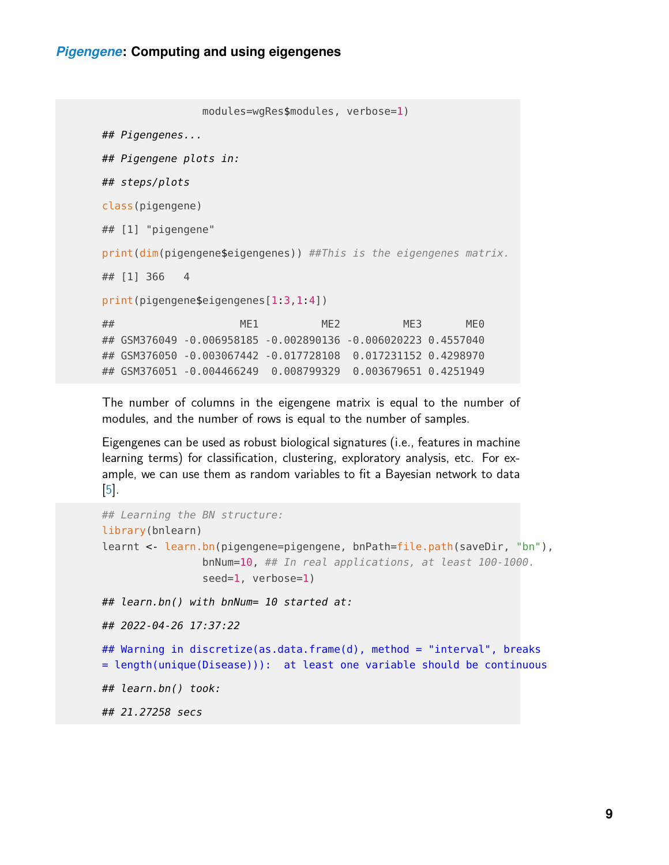```
modules=wgRes$modules, verbose=1)
## Pigengenes...
## Pigengene plots in:
## steps/plots
class(pigengene)
## [1] "pigengene"
print(dim(pigengene$eigengenes)) ##This is the eigengenes matrix.
## [1] 366 4
print(pigengene$eigengenes[1:3,1:4])
## ME1 ME2 ME3 ME0
## GSM376049 -0.006958185 -0.002890136 -0.006020223 0.4557040
## GSM376050 -0.003067442 -0.017728108 0.017231152 0.4298970
## GSM376051 -0.004466249 0.008799329 0.003679651 0.4251949
```
The number of columns in the eigengene matrix is equal to the number of modules, and the number of rows is equal to the number of samples.

Eigengenes can be used as robust biological signatures (i.e., features in machine learning terms) for classification, clustering, exploratory analysis, etc. For example, we can use them as random variables to fit a Bayesian network to data [\[5\]](#page-15-4).

```
## Learning the BN structure:
library(bnlearn)
learnt < learn.bn(pigengene=pigengene, bnPath=file.path(saveDir, "bn"),
                bnNum=10, ## In real applications, at least 100-1000.
                seed=1, verbose=1)
## learn.bn() with bnNum= 10 started at:
## 2022-04-26 17:37:22
## Warning in discretize(as.data.frame(d), method = "interval", breaks
= length(unique(Disease))): at least one variable should be continuous
## learn.bn() took:
## 21.27258 secs
```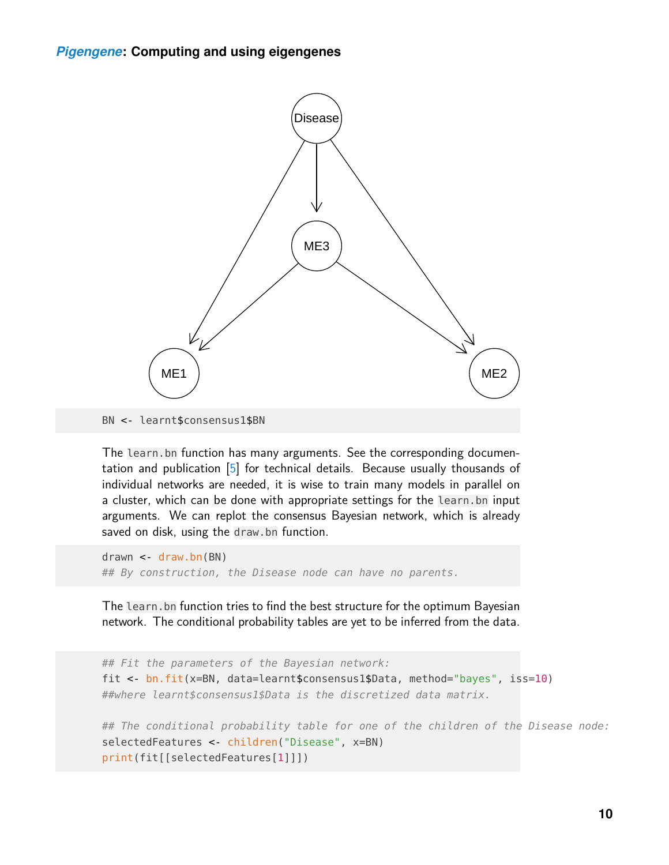

The learn.bn function has many arguments. See the corresponding documentation and publication [\[5\]](#page-15-4) for technical details. Because usually thousands of individual networks are needed, it is wise to train many models in parallel on a cluster, which can be done with appropriate settings for the learn.bn input arguments. We can replot the consensus Bayesian network, which is already saved on disk, using the draw.bn function.

drawn <- draw.bn(BN) ## By construction, the Disease node can have no parents.

The learn.bn function tries to find the best structure for the optimum Bayesian network. The conditional probability tables are yet to be inferred from the data.

```
## Fit the parameters of the Bayesian network:
fit <- bn.fit(x=BN, data=learnt$consensus1$Data, method="bayes", iss=10)
##where learnt$consensus1$Data is the discretized data matrix.
## The conditional probability table for one of the children of the Disease node:
selectedFeatures <- children("Disease", x=BN)
print(fit[[selectedFeatures[1]]])
```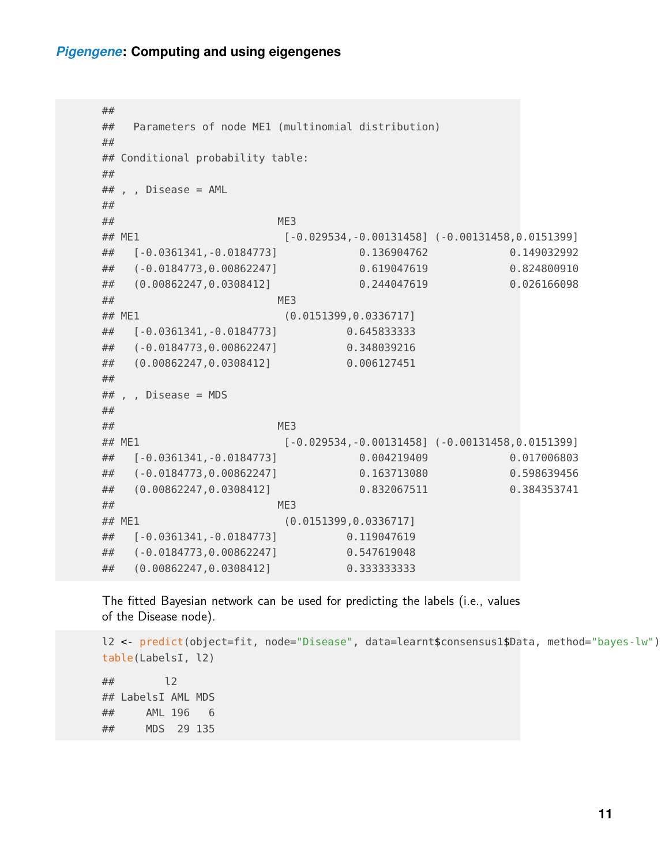#### *[Pigengene](http://bioconductor.org/packages/Pigengene)***: Computing and using eigengenes**

```
##
## Parameters of node ME1 (multinomial distribution)
##
## Conditional probability table:
##
## , , Disease = AML
##
\## ME3
## ME1 [-0.029534,-0.00131458] (-0.00131458,0.0151399]
## [-0.0361341,-0.0184773] 0.136904762 0.149032992
## (-0.0184773,0.00862247] 0.619047619 0.824800910
## (0.00862247,0.0308412] 0.244047619 0.026166098
\## ME3
## ME1 (0.0151399,0.0336717]
## [-0.0361341,-0.0184773] 0.645833333
## (-0.0184773,0.00862247] 0.348039216
## (0.00862247,0.0308412] 0.006127451
##
## , , Disease = MDS
##
\## ME3
## ME1 [-0.029534,-0.00131458] (-0.00131458,0.0151399]
## [-0.0361341,-0.0184773] 0.004219409 0.017006803
## (-0.0184773,0.00862247] 0.163713080 0.598639456
## (0.00862247,0.0308412] 0.832067511 0.384353741
\## ME3
## ME1 (0.0151399,0.0336717]
## [-0.0361341,-0.0184773] 0.119047619
## (-0.0184773,0.00862247] 0.547619048
## (0.00862247,0.0308412] 0.333333333
```
The fitted Bayesian network can be used for predicting the labels (i.e., values of the Disease node).

```
l2 <- predict(object=fit, node="Disease", data=learnt$consensus1$Data, method="bayes-lw")
table(LabelsI, l2)
## l2
## LabelsI AML MDS
## AML 196 6
## MDS 29 135
```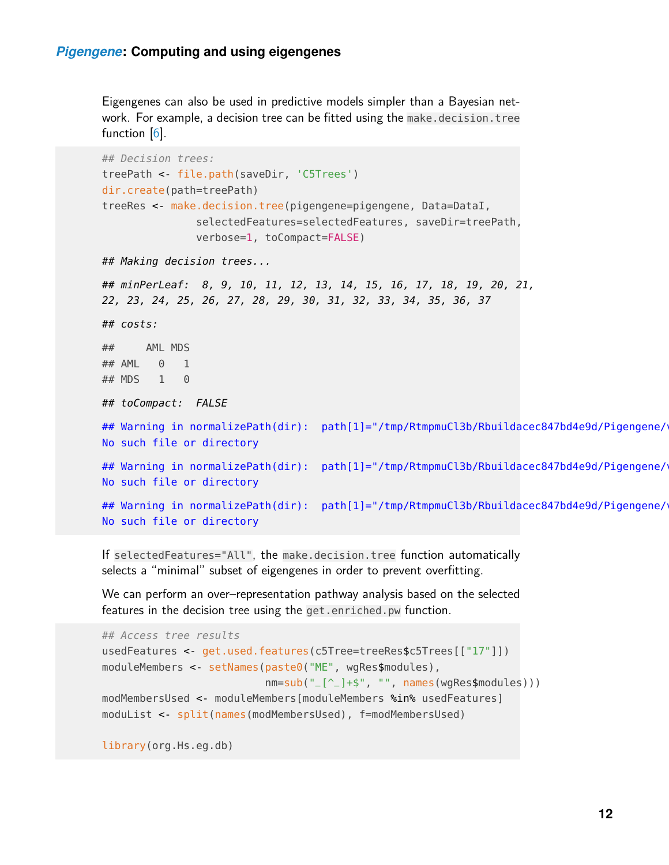Eigengenes can also be used in predictive models simpler than a Bayesian network. For example, a decision tree can be fitted using the make decision.tree function  $[6]$ .

```
## Decision trees:
treePath <- file.path(saveDir, 'C5Trees')
dir.create(path=treePath)
treeRes <- make.decision.tree(pigengene=pigengene, Data=DataI,
               selectedFeatures=selectedFeatures, saveDir=treePath,
               verbose=1, toCompact=FALSE)
## Making decision trees...
## minPerLeaf: 8, 9, 10, 11, 12, 13, 14, 15, 16, 17, 18, 19, 20, 21,
22, 23, 24, 25, 26, 27, 28, 29, 30, 31, 32, 33, 34, 35, 36, 37
## costs:
## AML MDS
## AML 0 1
## MDS 1 0
## toCompact: FALSE
## Warning in normalizePath(dir): path[1]="/tmp/RtmpmuCl3b/Rbuildacec847bd4e9d/Pigengene/
No such file or directory
## Warning in normalizePath(dir): path[1]="/tmp/RtmpmuCl3b/Rbuildacec847bd4e9d/Pigengene/
No such file or directory
## Warning in normalizePath(dir): path[1]="/tmp/RtmpmuCl3b/Rbuildacec847bd4e9d/Pigengene/
No such file or directory
```
If selectedFeatures="All", the make.decision.tree function automatically selects a "minimal" subset of eigengenes in order to prevent overfitting.

We can perform an over–representation pathway analysis based on the selected features in the decision tree using the get.enriched.pw function.

```
## Access tree results
usedFeatures <- get.used.features(c5Tree=treeRes$c5Trees[["17"]])
moduleMembers <- setNames(paste0("ME", wgRes$modules),
                          nm=sub("_[^_]+$", "", names(wgRes$modules)))
modMembersUsed <- moduleMembers[moduleMembers %in% usedFeatures]
moduList <- split(names(modMembersUsed), f=modMembersUsed)
```
library(org.Hs.eg.db)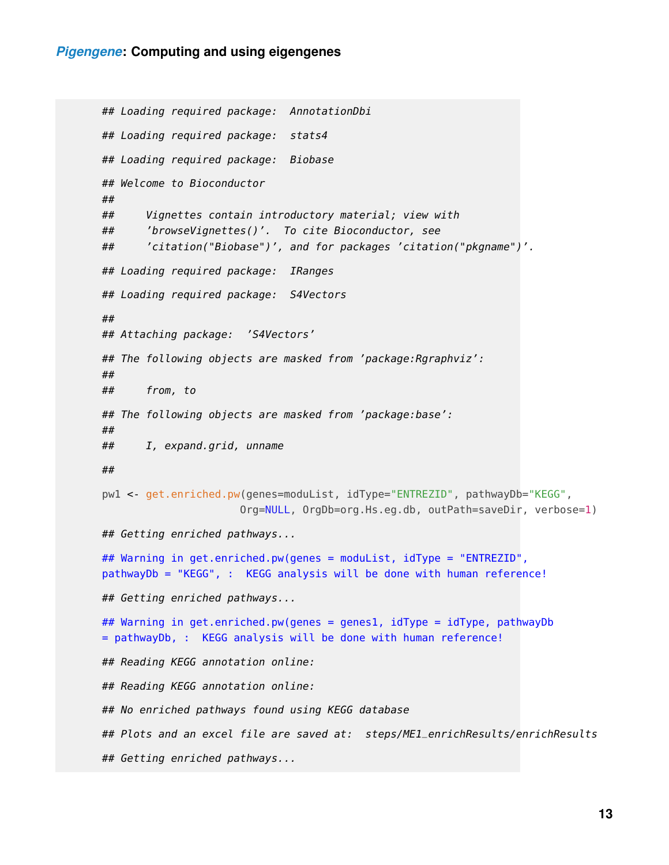```
## Loading required package: AnnotationDbi
## Loading required package: stats4
## Loading required package: Biobase
## Welcome to Bioconductor
##
## Vignettes contain introductory material; view with
## 'browseVignettes()'. To cite Bioconductor, see
## 'citation("Biobase")', and for packages 'citation("pkgname")'.
## Loading required package: IRanges
## Loading required package: S4Vectors
##
## Attaching package: 'S4Vectors'
## The following objects are masked from 'package:Rgraphviz':
##
## from, to
## The following objects are masked from 'package:base':
##
## I, expand.grid, unname
##
pw1 <- get.enriched.pw(genes=moduList, idType="ENTREZID", pathwayDb="KEGG",
                      Org=NULL, OrgDb=org.Hs.eg.db, outPath=saveDir, verbose=1)
## Getting enriched pathways...
## Warning in get.enriched.pw(genes = moduList, idType = "ENTREZID",
pathwayDb = "KEGG", : KEGG analysis will be done with human reference!
## Getting enriched pathways...
## Warning in get.enriched.pw(genes = genes1, idType = idType, pathwayDb
= pathwayDb, : KEGG analysis will be done with human reference!
## Reading KEGG annotation online:
## Reading KEGG annotation online:
## No enriched pathways found using KEGG database
## Plots and an excel file are saved at: steps/ME1_enrichResults/enrichResults
## Getting enriched pathways...
```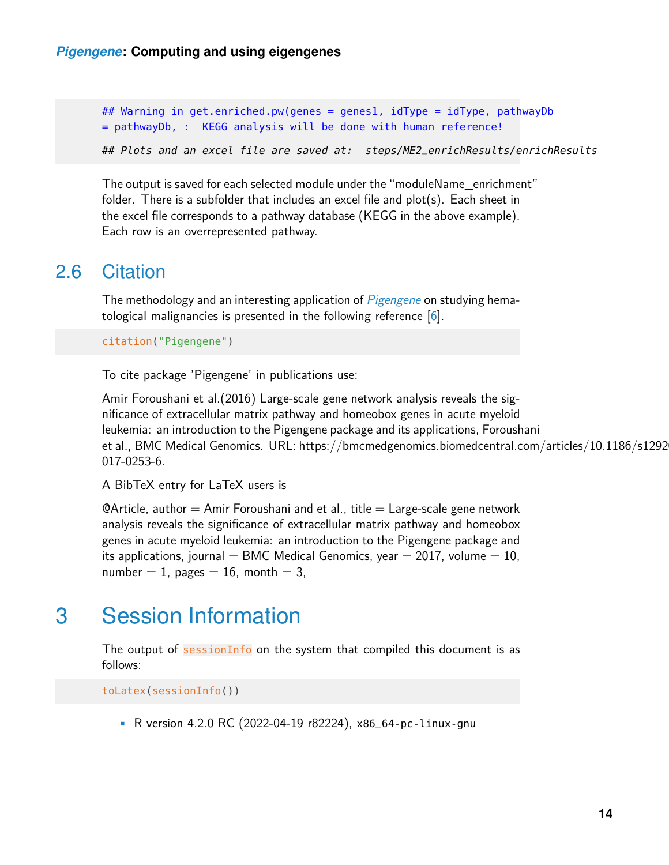## Warning in get.enriched.pw(genes = genes1, idType = idType, pathwayDb = pathwayDb, : KEGG analysis will be done with human reference! ## Plots and an excel file are saved at: steps/ME2\_enrichResults/enrichResults

The output is saved for each selected module under the "moduleName\_enrichment" folder. There is a subfolder that includes an excel file and plot(s). Each sheet in the excel file corresponds to a pathway database (KEGG in the above example). Each row is an overrepresented pathway.

#### <span id="page-13-0"></span>2.6 Citation

The methodology and an interesting application of *[Pigengene](http://bioconductor.org/packages/Pigengene)* on studying hematological malignancies is presented in the following reference  $[6]$ .

citation("Pigengene")

To cite package 'Pigengene' in publications use:

Amir Foroushani et al.(2016) Large-scale gene network analysis reveals the significance of extracellular matrix pathway and homeobox genes in acute myeloid leukemia: an introduction to the Pigengene package and its applications, Foroushani et al., BMC Medical Genomics. URL: https://bmcmedgenomics.biomedcentral.com/articles/10.1186/s1292 017-0253-6.

A BibTeX entry for LaTeX users is

 $\Theta$ Article, author  $=$  Amir Foroushani and et al., title  $=$  Large-scale gene network analysis reveals the significance of extracellular matrix pathway and homeobox genes in acute myeloid leukemia: an introduction to the Pigengene package and its applications, journal = BMC Medical Genomics, year = 2017, volume = 10, number  $= 1$ , pages  $= 16$ , month  $= 3$ ,

### <span id="page-13-1"></span>3 Session Information

The output of sessionInfo on the system that compiled this document is as follows:

toLatex(sessionInfo())

• R version 4.2.0 RC (2022-04-19 r82224), x86\_64-pc-linux-gnu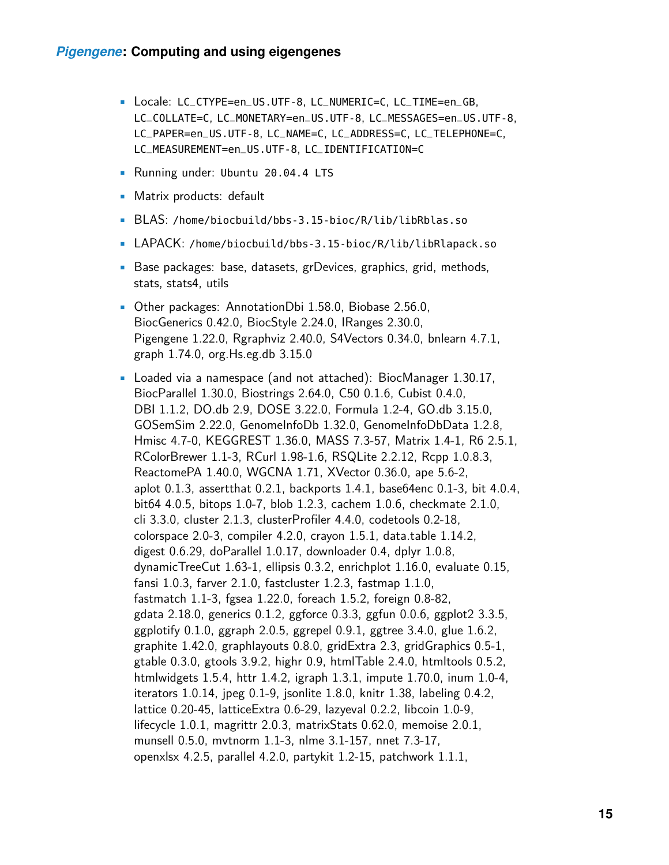- Locale: LC\_CTYPE=en\_US.UTF-8, LC\_NUMERIC=C, LC\_TIME=en\_GB, LC\_COLLATE=C, LC\_MONETARY=en\_US.UTF-8, LC\_MESSAGES=en\_US.UTF-8, LC\_PAPER=en\_US.UTF-8, LC\_NAME=C, LC\_ADDRESS=C, LC\_TELEPHONE=C, LC\_MEASUREMENT=en\_US.UTF-8, LC\_IDENTIFICATION=C
- Running under: Ubuntu 20.04.4 LTS
- Matrix products: default
- BLAS: /home/biocbuild/bbs-3.15-bioc/R/lib/libRblas.so
- LAPACK: /home/biocbuild/bbs-3.15-bioc/R/lib/libRlapack.so
- Base packages: base, datasets, grDevices, graphics, grid, methods, stats, stats4, utils
- Other packages: AnnotationDbi 1.58.0, Biobase 2.56.0, BiocGenerics 0.42.0, BiocStyle 2.24.0, IRanges 2.30.0, Pigengene 1.22.0, Rgraphviz 2.40.0, S4Vectors 0.34.0, bnlearn 4.7.1, graph 1.74.0, org.Hs.eg.db 3.15.0
- Loaded via a namespace (and not attached): BiocManager 1.30.17, BiocParallel 1.30.0, Biostrings 2.64.0, C50 0.1.6, Cubist 0.4.0, DBI 1.1.2, DO.db 2.9, DOSE 3.22.0, Formula 1.2-4, GO.db 3.15.0, GOSemSim 2.22.0, GenomeInfoDb 1.32.0, GenomeInfoDbData 1.2.8, Hmisc 4.7-0, KEGGREST 1.36.0, MASS 7.3-57, Matrix 1.4-1, R6 2.5.1, RColorBrewer 1.1-3, RCurl 1.98-1.6, RSQLite 2.2.12, Rcpp 1.0.8.3, ReactomePA 1.40.0, WGCNA 1.71, XVector 0.36.0, ape 5.6-2, aplot 0.1.3, assertthat 0.2.1, backports 1.4.1, base64enc 0.1-3, bit 4.0.4, bit64 4.0.5, bitops 1.0-7, blob 1.2.3, cachem 1.0.6, checkmate 2.1.0, cli 3.3.0, cluster 2.1.3, clusterProfiler 4.4.0, codetools 0.2-18, colorspace 2.0-3, compiler 4.2.0, crayon 1.5.1, data.table 1.14.2, digest 0.6.29, doParallel 1.0.17, downloader 0.4, dplyr 1.0.8, dynamicTreeCut 1.63-1, ellipsis 0.3.2, enrichplot 1.16.0, evaluate 0.15, fansi 1.0.3, farver 2.1.0, fastcluster 1.2.3, fastmap 1.1.0, fastmatch 1.1-3, fgsea 1.22.0, foreach 1.5.2, foreign 0.8-82, gdata 2.18.0, generics 0.1.2, ggforce 0.3.3, ggfun 0.0.6, ggplot2 3.3.5, ggplotify 0.1.0, ggraph 2.0.5, ggrepel 0.9.1, ggtree 3.4.0, glue 1.6.2, graphite 1.42.0, graphlayouts 0.8.0, gridExtra 2.3, gridGraphics 0.5-1, gtable 0.3.0, gtools 3.9.2, highr 0.9, htmlTable 2.4.0, htmltools 0.5.2, htmlwidgets 1.5.4, httr 1.4.2, igraph 1.3.1, impute 1.70.0, inum 1.0-4, iterators 1.0.14, jpeg 0.1-9, jsonlite 1.8.0, knitr 1.38, labeling 0.4.2, lattice 0.20-45, latticeExtra 0.6-29, lazyeval 0.2.2, libcoin 1.0-9, lifecycle 1.0.1, magrittr 2.0.3, matrixStats 0.62.0, memoise 2.0.1, munsell 0.5.0, mvtnorm 1.1-3, nlme 3.1-157, nnet 7.3-17, openxlsx 4.2.5, parallel 4.2.0, partykit 1.2-15, patchwork 1.1.1,